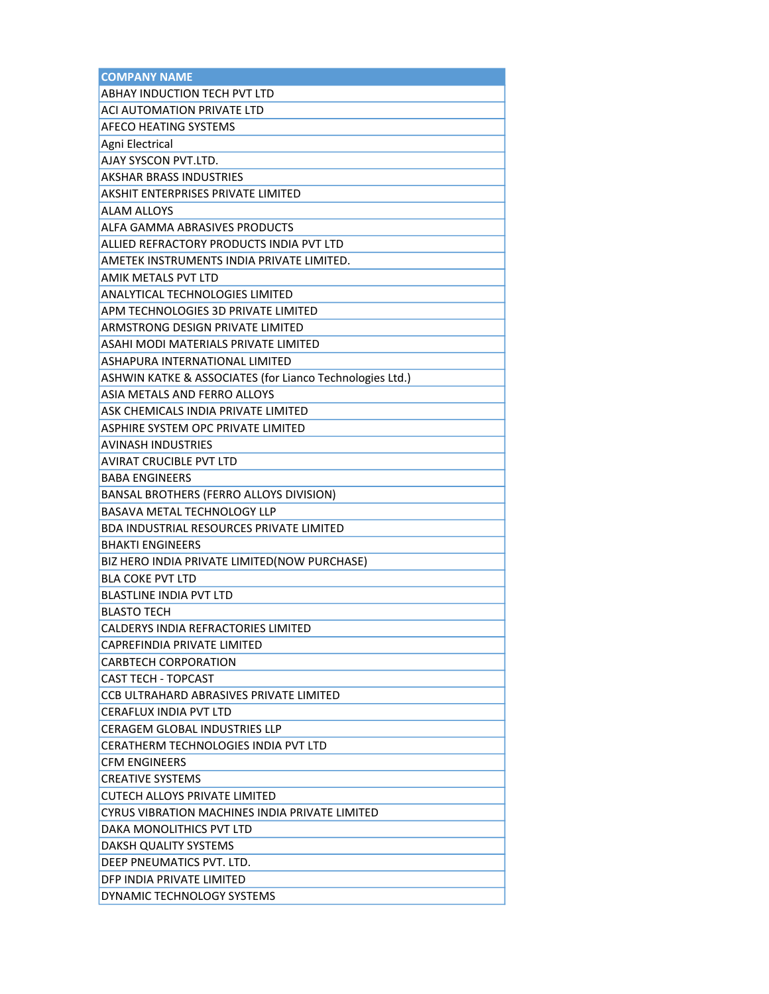| <b>COMPANY NAME</b>                                      |
|----------------------------------------------------------|
| <b>ABHAY INDUCTION TECH PVT LTD</b>                      |
| ACI AUTOMATION PRIVATE LTD                               |
| <b>AFECO HEATING SYSTEMS</b>                             |
| Agni Electrical                                          |
| AJAY SYSCON PVT.LTD.                                     |
| <b>AKSHAR BRASS INDUSTRIES</b>                           |
| <b>AKSHIT ENTERPRISES PRIVATE LIMITED</b>                |
| <b>ALAM ALLOYS</b>                                       |
| ALFA GAMMA ABRASIVES PRODUCTS                            |
| ALLIED REFRACTORY PRODUCTS INDIA PVT LTD                 |
| AMETEK INSTRUMENTS INDIA PRIVATE LIMITED.                |
| <b>AMIK METALS PVT LTD</b>                               |
| ANALYTICAL TECHNOLOGIES LIMITED                          |
| APM TECHNOLOGIES 3D PRIVATE LIMITED                      |
| ARMSTRONG DESIGN PRIVATE LIMITED                         |
| ASAHI MODI MATERIALS PRIVATE LIMITED                     |
| ASHAPURA INTERNATIONAL LIMITED                           |
| ASHWIN KATKE & ASSOCIATES (for Lianco Technologies Ltd.) |
| ASIA METALS AND FERRO ALLOYS                             |
| ASK CHEMICALS INDIA PRIVATE LIMITED                      |
| ASPHIRE SYSTEM OPC PRIVATE LIMITED                       |
| AVINASH INDUSTRIES                                       |
| <b>AVIRAT CRUCIBLE PVT LTD</b>                           |
| <b>BABA ENGINEERS</b>                                    |
| BANSAL BROTHERS (FERRO ALLOYS DIVISION)                  |
| BASAVA METAL TECHNOLOGY LLP                              |
| BDA INDUSTRIAL RESOURCES PRIVATE LIMITED                 |
| <b>BHAKTI ENGINEERS</b>                                  |
| BIZ HERO INDIA PRIVATE LIMITED(NOW PURCHASE)             |
| <b>BLA COKE PVT LTD</b>                                  |
| <b>BLASTLINE INDIA PVT LTD</b>                           |
| <b>BLASTO TECH</b>                                       |
| CALDERYS INDIA REFRACTORIES LIMITED                      |
| CAPREFINDIA PRIVATE LIMITED                              |
| <b>CARBTECH CORPORATION</b>                              |
| CAST TECH - TOPCAST                                      |
| CCB ULTRAHARD ABRASIVES PRIVATE LIMITED                  |
| <b>CERAFLUX INDIA PVT LTD</b>                            |
| <b>CERAGEM GLOBAL INDUSTRIES LLP</b>                     |
| CERATHERM TECHNOLOGIES INDIA PVT LTD                     |
| <b>CFM ENGINEERS</b>                                     |
| <b>CREATIVE SYSTEMS</b>                                  |
| CUTECH ALLOYS PRIVATE LIMITED                            |
| CYRUS VIBRATION MACHINES INDIA PRIVATE LIMITED           |
| DAKA MONOLITHICS PVT LTD                                 |
| DAKSH QUALITY SYSTEMS                                    |
| DEEP PNEUMATICS PVT. LTD.                                |
| DFP INDIA PRIVATE LIMITED                                |
| DYNAMIC TECHNOLOGY SYSTEMS                               |
|                                                          |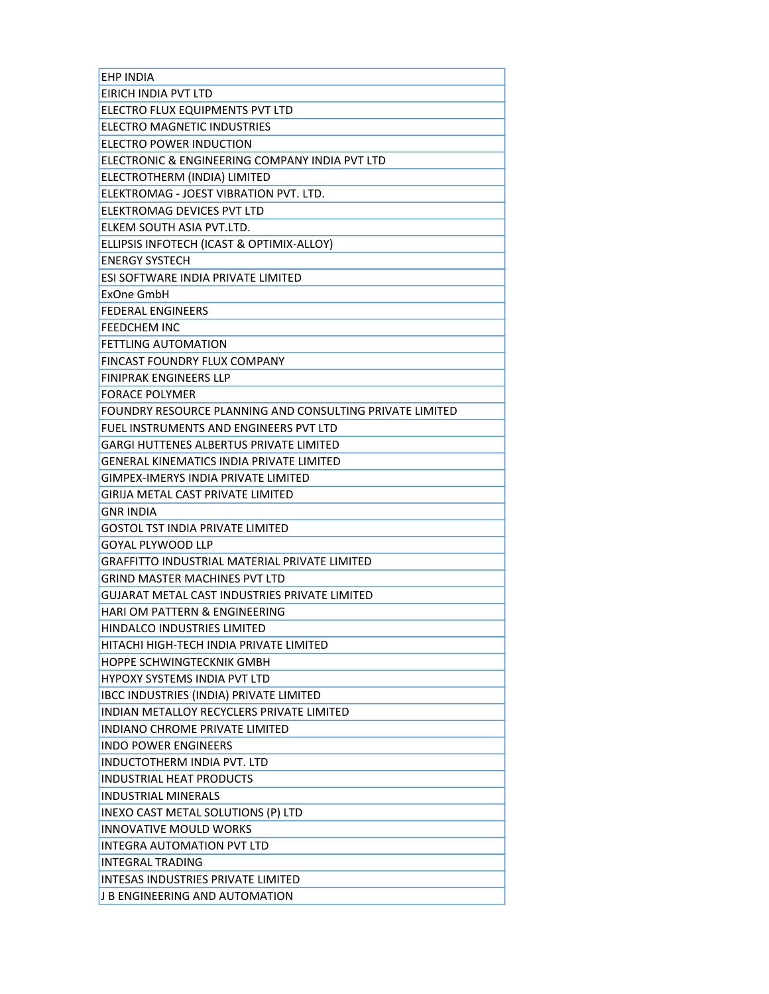| <b>EHP INDIA</b>                                         |
|----------------------------------------------------------|
| EIRICH INDIA PVT LTD                                     |
| ELECTRO FLUX EQUIPMENTS PVT LTD                          |
| ELECTRO MAGNETIC INDUSTRIES                              |
| ELECTRO POWER INDUCTION                                  |
| ELECTRONIC & ENGINEERING COMPANY INDIA PVT LTD           |
| ELECTROTHERM (INDIA) LIMITED                             |
| ELEKTROMAG - JOEST VIBRATION PVT. LTD.                   |
| ELEKTROMAG DEVICES PVT LTD                               |
| ELKEM SOUTH ASIA PVT.LTD.                                |
| ELLIPSIS INFOTECH (ICAST & OPTIMIX-ALLOY)                |
| <b>ENERGY SYSTECH</b>                                    |
| ESI SOFTWARE INDIA PRIVATE LIMITED                       |
| ExOne GmbH                                               |
| <b>FEDERAL ENGINEERS</b>                                 |
| <b>FEEDCHEM INC</b>                                      |
| <b>FETTLING AUTOMATION</b>                               |
| FINCAST FOUNDRY FLUX COMPANY                             |
| <b>FINIPRAK ENGINEERS LLP</b>                            |
| <b>FORACE POLYMER</b>                                    |
| FOUNDRY RESOURCE PLANNING AND CONSULTING PRIVATE LIMITED |
| FUEL INSTRUMENTS AND ENGINEERS PVT LTD                   |
| GARGI HUTTENES ALBERTUS PRIVATE LIMITED                  |
| GENERAL KINEMATICS INDIA PRIVATE LIMITED                 |
| <b>GIMPEX-IMERYS INDIA PRIVATE LIMITED</b>               |
| GIRIJA METAL CAST PRIVATE LIMITED                        |
| GNR INDIA                                                |
| GOSTOL TST INDIA PRIVATE LIMITED                         |
| <b>GOYAL PLYWOOD LLP</b>                                 |
| <b>GRAFFITTO INDUSTRIAL MATERIAL PRIVATE LIMITED</b>     |
| <b>GRIND MASTER MACHINES PVT LTD</b>                     |
| GUJARAT METAL CAST INDUSTRIES PRIVATE LIMITED            |
| HARI OM PATTERN & ENGINEERING                            |
| HINDALCO INDUSTRIES LIMITED                              |
| HITACHI HIGH-TECH INDIA PRIVATE LIMITED                  |
| HOPPE SCHWINGTECKNIK GMBH                                |
| <b>HYPOXY SYSTEMS INDIA PVT LTD</b>                      |
| IBCC INDUSTRIES (INDIA) PRIVATE LIMITED                  |
| <b>INDIAN METALLOY RECYCLERS PRIVATE LIMITED</b>         |
| INDIANO CHROME PRIVATE LIMITED                           |
| <b>INDO POWER ENGINEERS</b>                              |
| INDUCTOTHERM INDIA PVT. LTD                              |
| <b>INDUSTRIAL HEAT PRODUCTS</b>                          |
| <b>INDUSTRIAL MINERALS</b>                               |
| INEXO CAST METAL SOLUTIONS (P) LTD                       |
| <b>INNOVATIVE MOULD WORKS</b>                            |
| <b>INTEGRA AUTOMATION PVT LTD</b>                        |
| <b>INTEGRAL TRADING</b>                                  |
| INTESAS INDUSTRIES PRIVATE LIMITED                       |
| J B ENGINEERING AND AUTOMATION                           |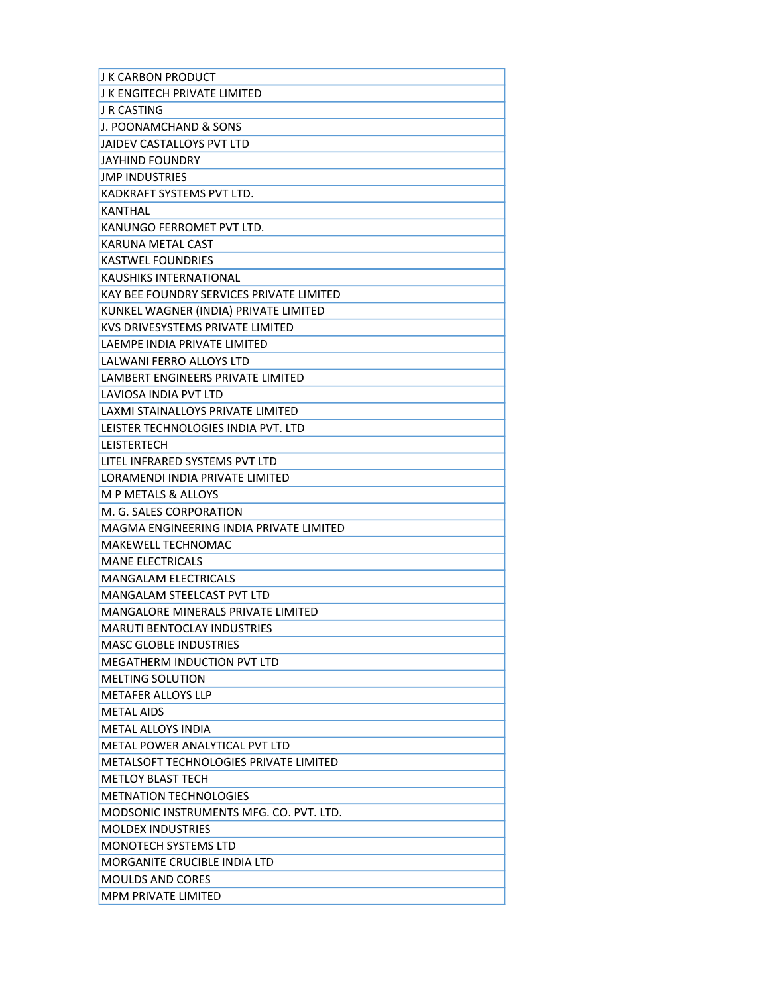| I K CARBON PRODUCT                       |
|------------------------------------------|
| I K ENGITECH PRIVATE LIMITED             |
| J R CASTING                              |
| J. POONAMCHAND & SONS                    |
| JAIDEV CASTALLOYS PVT LTD                |
| <b>JAYHIND FOUNDRY</b>                   |
| <b>JMP INDUSTRIES</b>                    |
| KADKRAFT SYSTEMS PVT LTD.                |
| <b>KANTHAL</b>                           |
| KANUNGO FERROMET PVT LTD.                |
| KARUNA METAL CAST                        |
| <b>KASTWEL FOUNDRIES</b>                 |
| KAUSHIKS INTERNATIONAL                   |
| KAY BEE FOUNDRY SERVICES PRIVATE LIMITED |
| KUNKEL WAGNER (INDIA) PRIVATE LIMITED    |
| KVS DRIVESYSTEMS PRIVATE LIMITED         |
| LAEMPE INDIA PRIVATE LIMITED             |
| <b>LALWANI FERRO ALLOYS LTD</b>          |
| LAMBERT ENGINEERS PRIVATE LIMITED        |
| LAVIOSA INDIA PVT LTD                    |
| LAXMI STAINALLOYS PRIVATE LIMITED        |
| LEISTER TECHNOLOGIES INDIA PVT. LTD      |
| LEISTERTECH                              |
| LITEL INFRARED SYSTEMS PVT LTD           |
| LORAMENDI INDIA PRIVATE LIMITED          |
| <b>M P METALS &amp; ALLOYS</b>           |
| M. G. SALES CORPORATION                  |
| MAGMA ENGINEERING INDIA PRIVATE LIMITED  |
| MAKEWELL TECHNOMAC                       |
| <b>MANE ELECTRICALS</b>                  |
| <b>MANGALAM ELECTRICALS</b>              |
| MANGALAM STEELCAST PVT LTD               |
| MANGALORE MINERALS PRIVATE LIMITED       |
| <b>MARUTI BENTOCLAY INDUSTRIES</b>       |
| <b>MASC GLOBLE INDUSTRIES</b>            |
| MEGATHERM INDUCTION PVT LTD              |
| <b>MELTING SOLUTION</b>                  |
| <b>METAFER ALLOYS LLP</b>                |
| <b>METAL AIDS</b>                        |
| METAL ALLOYS INDIA                       |
| METAL POWER ANALYTICAL PVT LTD           |
| METALSOFT TECHNOLOGIES PRIVATE LIMITED   |
| <b>METLOY BLAST TECH</b>                 |
| <b>METNATION TECHNOLOGIES</b>            |
| MODSONIC INSTRUMENTS MFG. CO. PVT. LTD.  |
| <b>MOLDEX INDUSTRIES</b>                 |
| <b>MONOTECH SYSTEMS LTD</b>              |
| <b>MORGANITE CRUCIBLE INDIA LTD</b>      |
| <b>MOULDS AND CORES</b>                  |
| <b>MPM PRIVATE LIMITED</b>               |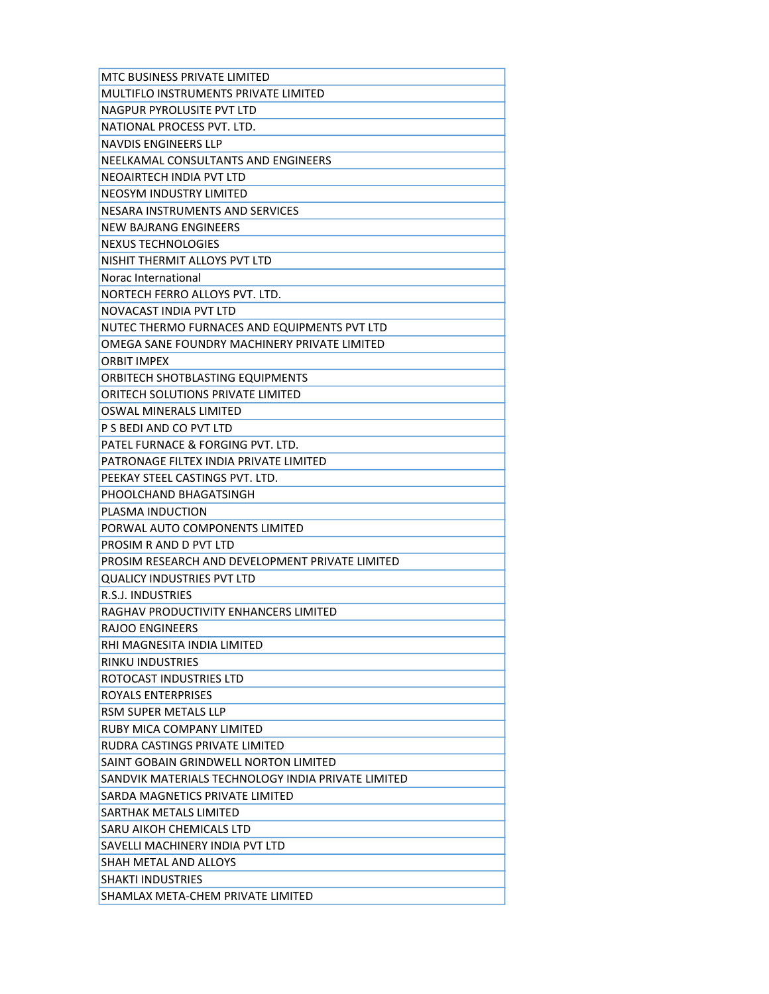| MTC BUSINESS PRIVATE LIMITED                       |
|----------------------------------------------------|
| MULTIFLO INSTRUMENTS PRIVATE LIMITED               |
| NAGPUR PYROLUSITE PVT LTD                          |
| NATIONAL PROCESS PVT. LTD.                         |
| NAVDIS ENGINEERS LLP                               |
| NEELKAMAL CONSULTANTS AND ENGINEERS                |
| NEOAIRTECH INDIA PVT LTD                           |
| NEOSYM INDUSTRY LIMITED                            |
| NESARA INSTRUMENTS AND SERVICES                    |
| <b>NEW BAJRANG ENGINEERS</b>                       |
| NEXUS TECHNOLOGIES                                 |
| NISHIT THERMIT ALLOYS PVT LTD                      |
| Norac International                                |
| NORTECH FERRO ALLOYS PVT. LTD.                     |
| NOVACAST INDIA PVT LTD                             |
| NUTEC THERMO FURNACES AND EQUIPMENTS PVT LTD       |
| OMEGA SANE FOUNDRY MACHINERY PRIVATE LIMITED       |
| <b>ORBIT IMPFX</b>                                 |
| ORBITECH SHOTBLASTING EQUIPMENTS                   |
| ORITECH SOLUTIONS PRIVATE LIMITED                  |
| OSWAL MINERALS LIMITED                             |
| P S BEDI AND CO PVT LTD                            |
| PATEL FURNACE & FORGING PVT. LTD.                  |
| PATRONAGE FILTEX INDIA PRIVATE LIMITED             |
| PEEKAY STEEL CASTINGS PVT. LTD.                    |
| PHOOLCHAND BHAGATSINGH                             |
| PLASMA INDUCTION                                   |
| PORWAL AUTO COMPONENTS LIMITED                     |
| PROSIM R AND D PVT LTD                             |
| PROSIM RESEARCH AND DEVELOPMENT PRIVATE LIMITED    |
| <b>QUALICY INDUSTRIES PVT LTD</b>                  |
| R.S.J. INDUSTRIES                                  |
| RAGHAV PRODUCTIVITY ENHANCERS LIMITED              |
| <b>RAJOO ENGINEERS</b>                             |
| RHI MAGNESITA INDIA LIMITED                        |
| RINKU INDUSTRIES                                   |
| ROTOCAST INDUSTRIES LTD                            |
| ROYALS ENTERPRISES                                 |
| RSM SUPER METALS LLP                               |
| RUBY MICA COMPANY LIMITED                          |
| RUDRA CASTINGS PRIVATE LIMITED                     |
| SAINT GOBAIN GRINDWELL NORTON LIMITED              |
| SANDVIK MATERIALS TECHNOLOGY INDIA PRIVATE LIMITED |
| SARDA MAGNETICS PRIVATE LIMITED                    |
| SARTHAK METALS LIMITED                             |
| SARU AIKOH CHEMICALS LTD                           |
| SAVELLI MACHINERY INDIA PVT LTD                    |
| SHAH METAL AND ALLOYS                              |
| <b>SHAKTI INDUSTRIES</b>                           |
| SHAMLAX META-CHEM PRIVATE LIMITED                  |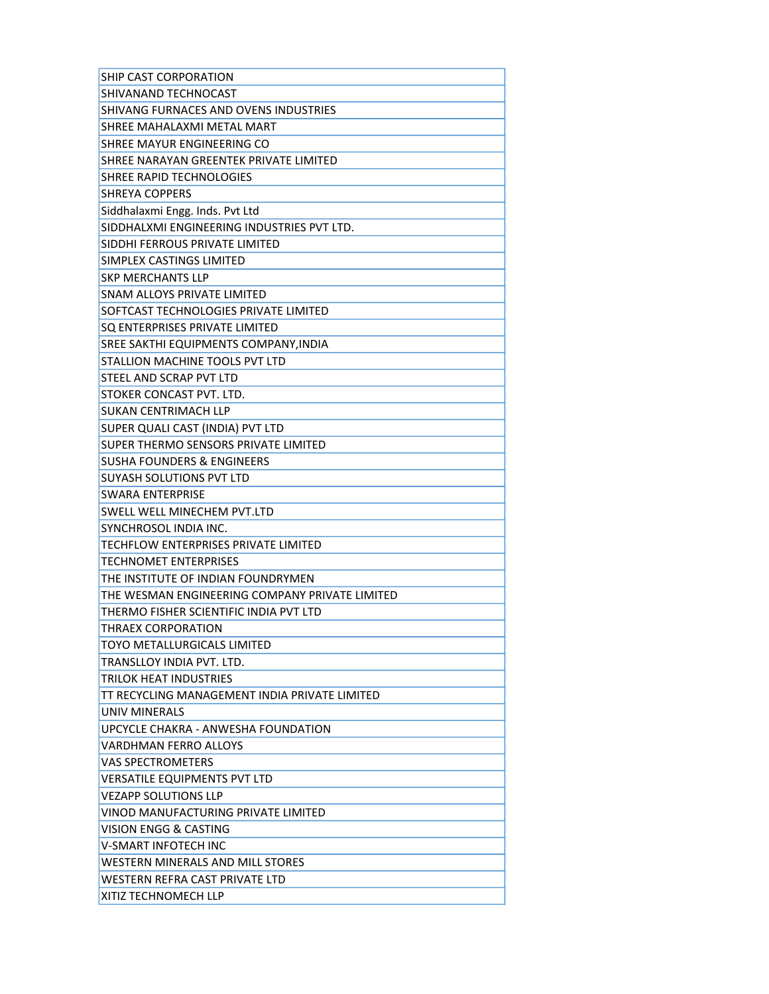| SHIP CAST CORPORATION                          |
|------------------------------------------------|
| <b>SHIVANAND TECHNOCAST</b>                    |
| SHIVANG FURNACES AND OVENS INDUSTRIES          |
| SHREE MAHALAXMI METAL MART                     |
| SHREE MAYUR ENGINEERING CO                     |
| SHREE NARAYAN GREENTEK PRIVATE LIMITED         |
| SHREE RAPID TECHNOLOGIES                       |
| <b>SHREYA COPPERS</b>                          |
| Siddhalaxmi Engg. Inds. Pvt Ltd                |
| SIDDHALXMI ENGINEERING INDUSTRIES PVT LTD.     |
| SIDDHI FERROUS PRIVATE LIMITED                 |
| <b>SIMPLEX CASTINGS LIMITED</b>                |
| <b>SKP MERCHANTS LLP</b>                       |
| SNAM ALLOYS PRIVATE LIMITED                    |
| SOFTCAST TECHNOLOGIES PRIVATE LIMITED          |
| SQ ENTERPRISES PRIVATE LIMITED                 |
| SREE SAKTHI EQUIPMENTS COMPANY, INDIA          |
| <b>STALLION MACHINE TOOLS PVT LTD</b>          |
| <b>STEEL AND SCRAP PVT LTD</b>                 |
| STOKER CONCAST PVT. LTD.                       |
| <b>SUKAN CENTRIMACH LLP</b>                    |
| SUPER QUALI CAST (INDIA) PVT LTD               |
| SUPER THERMO SENSORS PRIVATE LIMITED           |
| <b>SUSHA FOUNDERS &amp; ENGINEERS</b>          |
| SUYASH SOLUTIONS PVT LTD                       |
| <b>SWARA ENTERPRISE</b>                        |
| <b>SWELL WELL MINECHEM PVT.LTD</b>             |
| SYNCHROSOL INDIA INC.                          |
| TECHFLOW ENTERPRISES PRIVATE LIMITED           |
| <b>TECHNOMET ENTERPRISES</b>                   |
| THE INSTITUTE OF INDIAN FOUNDRYMEN             |
| THE WESMAN ENGINEERING COMPANY PRIVATE LIMITED |
| THERMO FISHER SCIENTIFIC INDIA PVT LTD         |
| THRAEX CORPORATION                             |
| TOYO METALLURGICALS LIMITED                    |
| TRANSLLOY INDIA PVT. LTD.                      |
| TRILOK HEAT INDUSTRIES                         |
| TT RECYCLING MANAGEMENT INDIA PRIVATE LIMITED  |
| UNIV MINERALS                                  |
| UPCYCLE CHAKRA - ANWESHA FOUNDATION            |
| VARDHMAN FERRO ALLOYS                          |
| <b>VAS SPECTROMETERS</b>                       |
| VERSATILE EQUIPMENTS PVT LTD                   |
| <b>VEZAPP SOLUTIONS LLP</b>                    |
| VINOD MANUFACTURING PRIVATE LIMITED            |
| VISION ENGG & CASTING                          |
| <b>V-SMART INFOTECH INC</b>                    |
| WESTERN MINERALS AND MILL STORES               |
| WESTERN REFRA CAST PRIVATE LTD                 |
| XITIZ TECHNOMECH LLP                           |